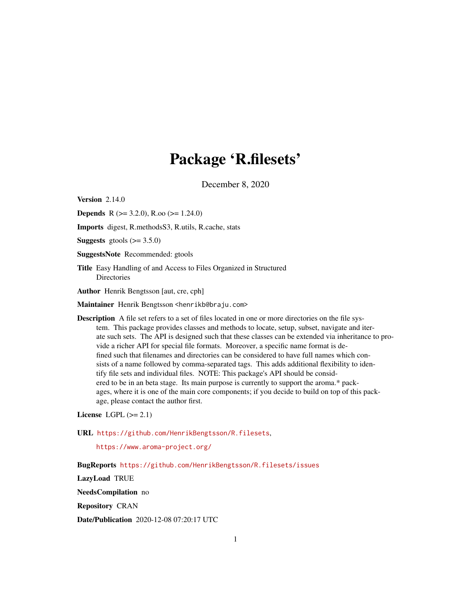# Package 'R.filesets'

December 8, 2020

<span id="page-0-0"></span>Version 2.14.0

Depends R (>= 3.2.0), R.oo (>= 1.24.0)

Imports digest, R.methodsS3, R.utils, R.cache, stats

**Suggests** gtools  $(>= 3.5.0)$ 

SuggestsNote Recommended: gtools

Title Easy Handling of and Access to Files Organized in Structured Directories

Author Henrik Bengtsson [aut, cre, cph]

Maintainer Henrik Bengtsson <henrikb@braju.com>

Description A file set refers to a set of files located in one or more directories on the file system. This package provides classes and methods to locate, setup, subset, navigate and iterate such sets. The API is designed such that these classes can be extended via inheritance to provide a richer API for special file formats. Moreover, a specific name format is defined such that filenames and directories can be considered to have full names which consists of a name followed by comma-separated tags. This adds additional flexibility to identify file sets and individual files. NOTE: This package's API should be considered to be in an beta stage. Its main purpose is currently to support the aroma.\* packages, where it is one of the main core components; if you decide to build on top of this package, please contact the author first.

License LGPL  $(>= 2.1)$ 

URL <https://github.com/HenrikBengtsson/R.filesets>,

<https://www.aroma-project.org/>

BugReports <https://github.com/HenrikBengtsson/R.filesets/issues>

LazyLoad TRUE

NeedsCompilation no

Repository CRAN

Date/Publication 2020-12-08 07:20:17 UTC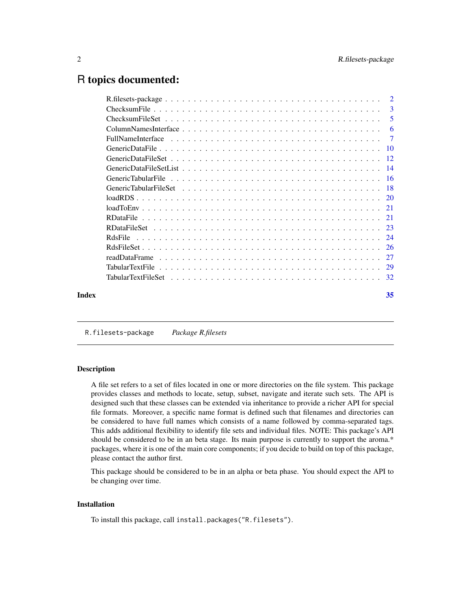# <span id="page-1-0"></span>R topics documented:

|       | -5 |
|-------|----|
|       | -6 |
|       |    |
|       |    |
|       |    |
|       |    |
|       |    |
|       |    |
|       |    |
|       |    |
|       |    |
|       |    |
|       |    |
|       |    |
|       |    |
|       |    |
|       |    |
| Index | 35 |

R.filesets-package *Package R.filesets*

#### Description

A file set refers to a set of files located in one or more directories on the file system. This package provides classes and methods to locate, setup, subset, navigate and iterate such sets. The API is designed such that these classes can be extended via inheritance to provide a richer API for special file formats. Moreover, a specific name format is defined such that filenames and directories can be considered to have full names which consists of a name followed by comma-separated tags. This adds additional flexibility to identify file sets and individual files. NOTE: This package's API should be considered to be in an beta stage. Its main purpose is currently to support the aroma.\* packages, where it is one of the main core components; if you decide to build on top of this package, please contact the author first.

This package should be considered to be in an alpha or beta phase. You should expect the API to be changing over time.

#### Installation

To install this package, call install.packages("R.filesets").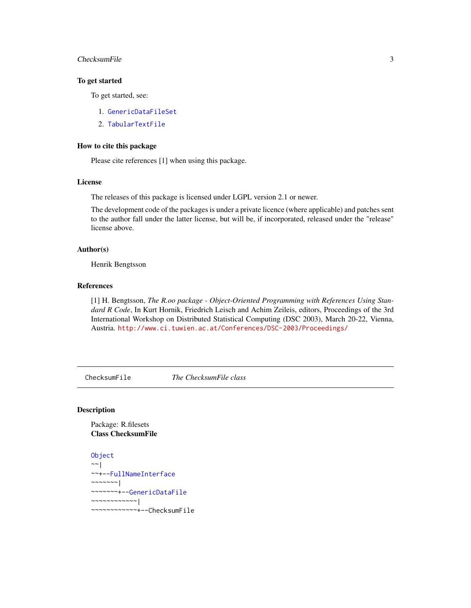# <span id="page-2-0"></span>ChecksumFile 3

#### To get started

To get started, see:

- 1. [GenericDataFileSet](#page-11-1)
- 2. [TabularTextFile](#page-28-1)

#### How to cite this package

Please cite references [1] when using this package.

#### License

The releases of this package is licensed under LGPL version 2.1 or newer.

The development code of the packages is under a private licence (where applicable) and patches sent to the author fall under the latter license, but will be, if incorporated, released under the "release" license above.

# Author(s)

Henrik Bengtsson

#### References

[1] H. Bengtsson, *The R.oo package - Object-Oriented Programming with References Using Standard R Code*, In Kurt Hornik, Friedrich Leisch and Achim Zeileis, editors, Proceedings of the 3rd International Workshop on Distributed Statistical Computing (DSC 2003), March 20-22, Vienna, Austria. <http://www.ci.tuwien.ac.at/Conferences/DSC-2003/Proceedings/>

<span id="page-2-1"></span>ChecksumFile *The ChecksumFile class*

# Description

Package: R.filesets Class ChecksumFile

[Object](#page-0-0)  $~\sim~$ ~~+-[-FullNameInterface](#page-6-1)  $~\sim$   $~\sim$   $~\sim$   $~\sim$   $~\sim$   $~\sim$   $~\sim$ ~~~~~~~+-[-GenericDataFile](#page-9-1) ~~~~~~~~~~~~| ~~~~~~~~~~~~+--ChecksumFile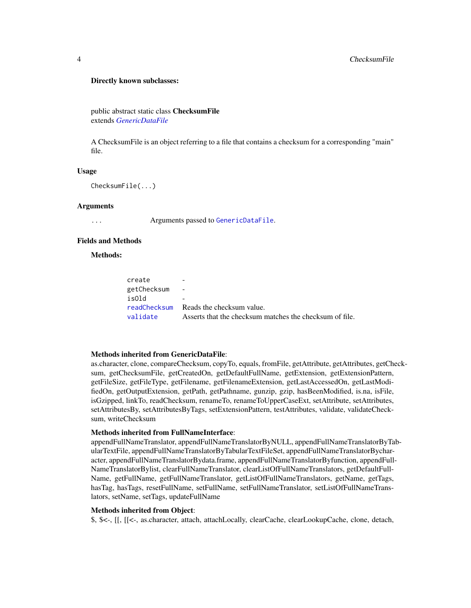#### <span id="page-3-0"></span>Directly known subclasses:

public abstract static class ChecksumFile extends *[GenericDataFile](#page-9-1)*

A ChecksumFile is an object referring to a file that contains a checksum for a corresponding "main" file.

#### Usage

ChecksumFile(...)

#### Arguments

... Arguments passed to [GenericDataFile](#page-9-1).

#### Fields and Methods

#### Methods:

| create      | -                                                       |
|-------------|---------------------------------------------------------|
| getChecksum | $\sim$                                                  |
| isOld       |                                                         |
|             | readChecksum Reads the checksum value.                  |
| validate    | Asserts that the checksum matches the checksum of file. |

#### Methods inherited from GenericDataFile:

as.character, clone, compareChecksum, copyTo, equals, fromFile, getAttribute, getAttributes, getChecksum, getChecksumFile, getCreatedOn, getDefaultFullName, getExtension, getExtensionPattern, getFileSize, getFileType, getFilename, getFilenameExtension, getLastAccessedOn, getLastModifiedOn, getOutputExtension, getPath, getPathname, gunzip, gzip, hasBeenModified, is.na, isFile, isGzipped, linkTo, readChecksum, renameTo, renameToUpperCaseExt, setAttribute, setAttributes, setAttributesBy, setAttributesByTags, setExtensionPattern, testAttributes, validate, validateChecksum, writeChecksum

#### Methods inherited from FullNameInterface:

appendFullNameTranslator, appendFullNameTranslatorByNULL, appendFullNameTranslatorByTabularTextFile, appendFullNameTranslatorByTabularTextFileSet, appendFullNameTranslatorBycharacter, appendFullNameTranslatorBydata.frame, appendFullNameTranslatorByfunction, appendFull-NameTranslatorBylist, clearFullNameTranslator, clearListOfFullNameTranslators, getDefaultFull-Name, getFullName, getFullNameTranslator, getListOfFullNameTranslators, getName, getTags, hasTag, hasTags, resetFullName, setFullName, setFullNameTranslator, setListOfFullNameTranslators, setName, setTags, updateFullName

#### Methods inherited from Object:

\$, \$<-, [[, [[<-, as.character, attach, attachLocally, clearCache, clearLookupCache, clone, detach,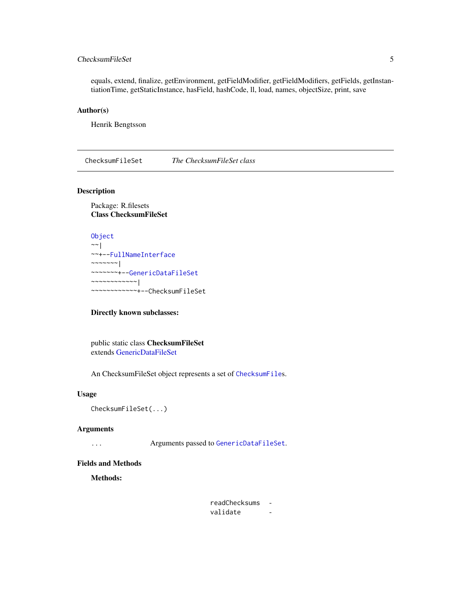# <span id="page-4-0"></span>ChecksumFileSet 5

equals, extend, finalize, getEnvironment, getFieldModifier, getFieldModifiers, getFields, getInstantiationTime, getStaticInstance, hasField, hashCode, ll, load, names, objectSize, print, save

# Author(s)

Henrik Bengtsson

<span id="page-4-1"></span>ChecksumFileSet *The ChecksumFileSet class*

#### Description

Package: R.filesets Class ChecksumFileSet

```
Object
~\sim~|
~~+--FullNameInterface
~\sim ~\sim ~\sim ~\sim ~\sim ~\sim ~\sim~~~~~~~+--GenericDataFileSet
~~~~~~~~~~~~|
~~~~~~~~~~~~+--ChecksumFileSet
```
# Directly known subclasses:

public static class ChecksumFileSet extends [GenericDataFileSet](#page-11-1)

An ChecksumFileSet object represents a set of [ChecksumFile](#page-2-1)s.

# Usage

ChecksumFileSet(...)

#### Arguments

... Arguments passed to [GenericDataFileSet](#page-11-1).

#### Fields and Methods

Methods:

readChecksums validate -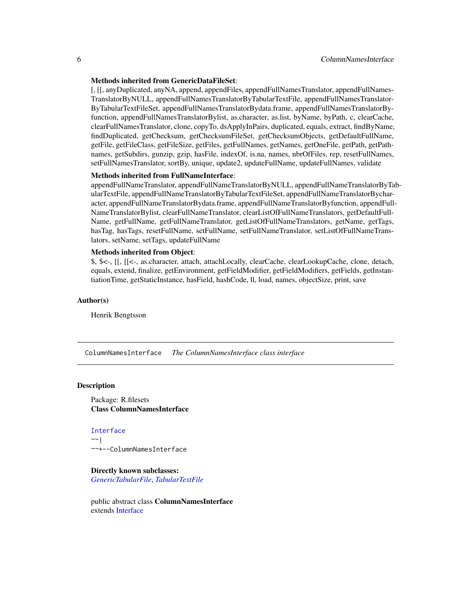#### <span id="page-5-0"></span>Methods inherited from GenericDataFileSet:

[, [[, anyDuplicated, anyNA, append, appendFiles, appendFullNamesTranslator, appendFullNames-TranslatorByNULL, appendFullNamesTranslatorByTabularTextFile, appendFullNamesTranslator-ByTabularTextFileSet, appendFullNamesTranslatorBydata.frame, appendFullNamesTranslatorByfunction, appendFullNamesTranslatorBylist, as.character, as.list, byName, byPath, c, clearCache, clearFullNamesTranslator, clone, copyTo, dsApplyInPairs, duplicated, equals, extract, findByName, findDuplicated, getChecksum, getChecksumFileSet, getChecksumObjects, getDefaultFullName, getFile, getFileClass, getFileSize, getFiles, getFullNames, getNames, getOneFile, getPath, getPathnames, getSubdirs, gunzip, gzip, hasFile, indexOf, is.na, names, nbrOfFiles, rep, resetFullNames, setFullNamesTranslator, sortBy, unique, update2, updateFullName, updateFullNames, validate

#### Methods inherited from FullNameInterface:

appendFullNameTranslator, appendFullNameTranslatorByNULL, appendFullNameTranslatorByTabularTextFile, appendFullNameTranslatorByTabularTextFileSet, appendFullNameTranslatorBycharacter, appendFullNameTranslatorBydata.frame, appendFullNameTranslatorByfunction, appendFull-NameTranslatorBylist, clearFullNameTranslator, clearListOfFullNameTranslators, getDefaultFull-Name, getFullName, getFullNameTranslator, getListOfFullNameTranslators, getName, getTags, hasTag, hasTags, resetFullName, setFullName, setFullNameTranslator, setListOfFullNameTranslators, setName, setTags, updateFullName

# Methods inherited from Object:

\$, \$<-, [[, [[<-, as.character, attach, attachLocally, clearCache, clearLookupCache, clone, detach, equals, extend, finalize, getEnvironment, getFieldModifier, getFieldModifiers, getFields, getInstantiationTime, getStaticInstance, hasField, hashCode, ll, load, names, objectSize, print, save

#### Author(s)

Henrik Bengtsson

<span id="page-5-1"></span>ColumnNamesInterface *The ColumnNamesInterface class interface*

#### **Description**

Package: R.filesets Class ColumnNamesInterface

[Interface](#page-0-0)  $\sim$   $\sim$  | ~~+--ColumnNamesInterface

Directly known subclasses: *[GenericTabularFile](#page-15-1)*, *[TabularTextFile](#page-28-1)*

public abstract class ColumnNamesInterface extends [Interface](#page-0-0)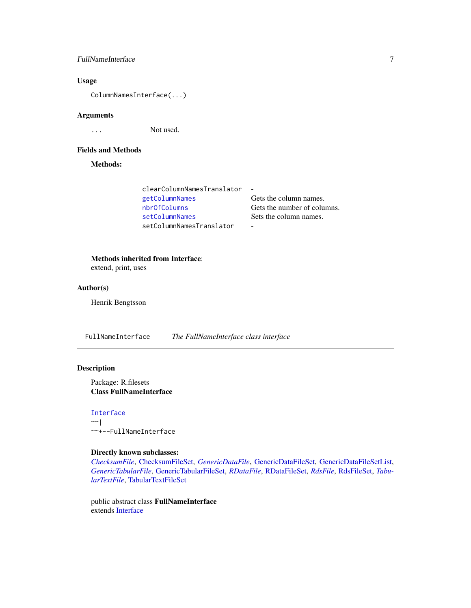# <span id="page-6-0"></span>FullNameInterface 7

# Usage

ColumnNamesInterface(...)

#### Arguments

... Not used.

#### Fields and Methods

Methods:

| Gets the column names.      |
|-----------------------------|
| Gets the number of columns. |
| Sets the column names.      |
| -                           |
|                             |

Methods inherited from Interface: extend, print, uses

#### Author(s)

Henrik Bengtsson

<span id="page-6-1"></span>FullNameInterface *The FullNameInterface class interface*

#### Description

Package: R.filesets Class FullNameInterface

[Interface](#page-0-0)  $~\sim~$ | ~~+--FullNameInterface

#### Directly known subclasses:

*[ChecksumFile](#page-2-1)*, [ChecksumFileSet,](#page-4-1) *[GenericDataFile](#page-9-1)*, [GenericDataFileSet,](#page-11-1) [GenericDataFileSetList,](#page-13-1) *[GenericTabularFile](#page-15-1)*, [GenericTabularFileSet,](#page-17-1) *[RDataFile](#page-20-1)*, [RDataFileSet,](#page-22-1) *[RdsFile](#page-23-1)*, [RdsFileSet,](#page-25-1) *[Tabu](#page-28-1)[larTextFile](#page-28-1)*, [TabularTextFileSet](#page-31-1)

public abstract class FullNameInterface extends [Interface](#page-0-0)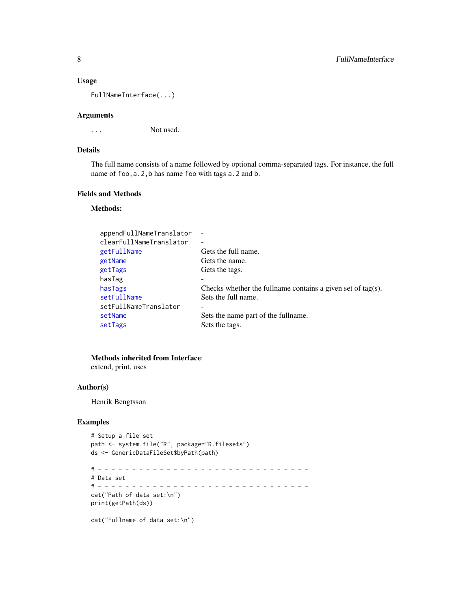# <span id="page-7-0"></span>Usage

FullNameInterface(...)

#### Arguments

... Not used.

# Details

The full name consists of a name followed by optional comma-separated tags. For instance, the full name of foo,a.2,b has name foo with tags a.2 and b.

# Fields and Methods

# Methods:

| appendFullNameTranslator |                                                                |
|--------------------------|----------------------------------------------------------------|
| clearFullNameTranslator  |                                                                |
| getFullName              | Gets the full name.                                            |
| getName                  | Gets the name.                                                 |
| getTags                  | Gets the tags.                                                 |
| hasTag                   |                                                                |
| hasTags                  | Checks whether the fullname contains a given set of $tag(s)$ . |
| setFullName              | Sets the full name.                                            |
| setFullNameTranslator    |                                                                |
| setName                  | Sets the name part of the fullname.                            |
| setTags                  | Sets the tags.                                                 |
|                          |                                                                |

#### Methods inherited from Interface:

extend, print, uses

#### Author(s)

Henrik Bengtsson

# Examples

```
# Setup a file set
path <- system.file("R", package="R.filesets")
ds <- GenericDataFileSet$byPath(path)
# - - - - - - - - - - - - - - - - - - - - - - - - - - - - - - -
```

```
# Data set
# - - - - - - - - - - - - - - - - - - - - - - - - - - - - - - -
cat("Path of data set:\n")
print(getPath(ds))
```
cat("Fullname of data set:\n")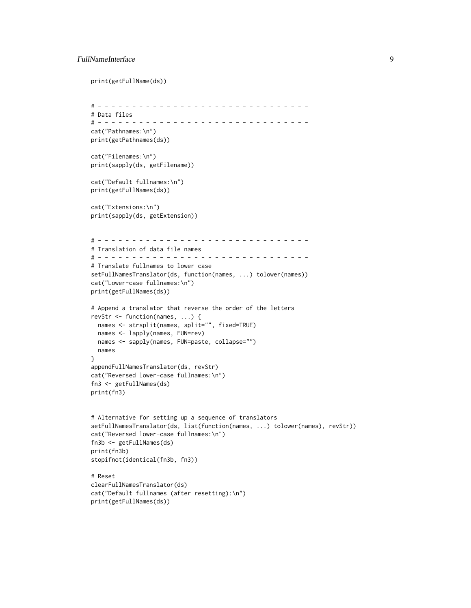# FullNameInterface 9

print(getFullName(ds))

```
# - - - - - - - - - - - - - - - - - - - - - - - - - - - - - - -
# Data files
# - - - - - - - - - - - - - - - - - - - - - - - - - - - - - - -
cat("Pathnames:\n")
print(getPathnames(ds))
cat("Filenames:\n")
print(sapply(ds, getFilename))
cat("Default fullnames:\n")
print(getFullNames(ds))
cat("Extensions:\n")
print(sapply(ds, getExtension))
# - - - - - - - - - - - - - - - - - - - - - - - - - - - - - - -
# Translation of data file names
# - - - - - - - - - - - - - - - - - - - - - - - - - - - - - - -
# Translate fullnames to lower case
setFullNamesTranslator(ds, function(names, ...) tolower(names))
cat("Lower-case fullnames:\n")
print(getFullNames(ds))
# Append a translator that reverse the order of the letters
revStr <- function(names, ...) {
 names <- strsplit(names, split="", fixed=TRUE)
  names <- lapply(names, FUN=rev)
 names <- sapply(names, FUN=paste, collapse="")
  names
}
appendFullNamesTranslator(ds, revStr)
cat("Reversed lower-case fullnames:\n")
fn3 <- getFullNames(ds)
print(fn3)
# Alternative for setting up a sequence of translators
setFullNamesTranslator(ds, list(function(names, ...) tolower(names), revStr))
cat("Reversed lower-case fullnames:\n")
fn3b <- getFullNames(ds)
print(fn3b)
stopifnot(identical(fn3b, fn3))
# Reset
clearFullNamesTranslator(ds)
cat("Default fullnames (after resetting):\n")
print(getFullNames(ds))
```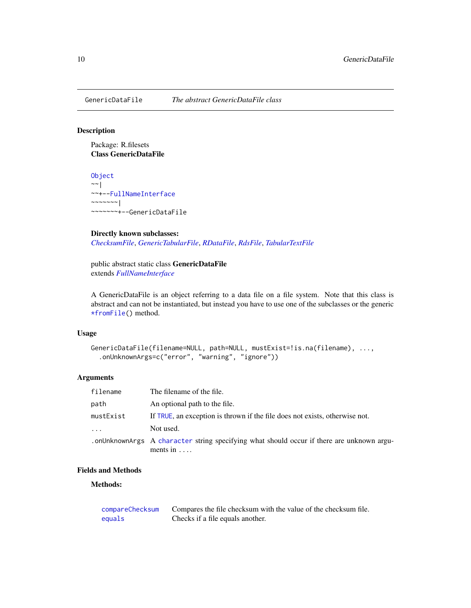<span id="page-9-1"></span><span id="page-9-0"></span>

# Description

Package: R.filesets Class GenericDataFile

[Object](#page-0-0)  $~\sim~$ ~~+-[-FullNameInterface](#page-6-1) ~~~~~~~| ~~~~~~~+--GenericDataFile

# Directly known subclasses:

*[ChecksumFile](#page-2-1)*, *[GenericTabularFile](#page-15-1)*, *[RDataFile](#page-20-1)*, *[RdsFile](#page-23-1)*, *[TabularTextFile](#page-28-1)*

public abstract static class GenericDataFile extends *[FullNameInterface](#page-6-1)*

A GenericDataFile is an object referring to a data file on a file system. Note that this class is abstract and can not be instantiated, but instead you have to use one of the subclasses or the generic [\\*fromFile\(](#page-0-0)) method.

### Usage

```
GenericDataFile(filename=NULL, path=NULL, mustExist=!is.na(filename), ...,
  .onUnknownArgs=c("error", "warning", "ignore"))
```
#### Arguments

| filename  | The filename of the file.                                                                                      |
|-----------|----------------------------------------------------------------------------------------------------------------|
| path      | An optional path to the file.                                                                                  |
| mustExist | If TRUE, an exception is thrown if the file does not exists, otherwise not.                                    |
| $\cdots$  | Not used.                                                                                                      |
|           | . onUnknownArgs A character string specifying what should occur if there are unknown argu-<br>ments in $\dots$ |

# Fields and Methods

#### Methods:

| compareChecksum | Compares the file checksum with the value of the checksum file. |
|-----------------|-----------------------------------------------------------------|
| equals          | Checks if a file equals another.                                |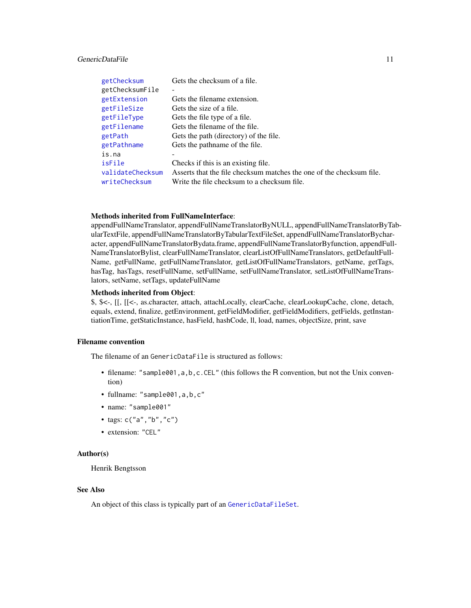# <span id="page-10-0"></span>GenericDataFile 11

| getChecksum      | Gets the checksum of a file.                                         |
|------------------|----------------------------------------------------------------------|
| getChecksumFile  |                                                                      |
| getExtension     | Gets the filename extension.                                         |
| getFileSize      | Gets the size of a file.                                             |
| getFileType      | Gets the file type of a file.                                        |
| getFilename      | Gets the filename of the file.                                       |
| getPath          | Gets the path (directory) of the file.                               |
| getPathname      | Gets the pathname of the file.                                       |
| is.na            |                                                                      |
| isFile           | Checks if this is an existing file.                                  |
| validateChecksum | Asserts that the file checksum matches the one of the checksum file. |
| writeChecksum    | Write the file checksum to a checksum file.                          |

# Methods inherited from FullNameInterface:

appendFullNameTranslator, appendFullNameTranslatorByNULL, appendFullNameTranslatorByTabularTextFile, appendFullNameTranslatorByTabularTextFileSet, appendFullNameTranslatorBycharacter, appendFullNameTranslatorBydata.frame, appendFullNameTranslatorByfunction, appendFull-NameTranslatorBylist, clearFullNameTranslator, clearListOfFullNameTranslators, getDefaultFull-Name, getFullName, getFullNameTranslator, getListOfFullNameTranslators, getName, getTags, hasTag, hasTags, resetFullName, setFullName, setFullNameTranslator, setListOfFullNameTranslators, setName, setTags, updateFullName

#### Methods inherited from Object:

\$, \$<-, [[, [[<-, as.character, attach, attachLocally, clearCache, clearLookupCache, clone, detach, equals, extend, finalize, getEnvironment, getFieldModifier, getFieldModifiers, getFields, getInstantiationTime, getStaticInstance, hasField, hashCode, ll, load, names, objectSize, print, save

# Filename convention

The filename of an GenericDataFile is structured as follows:

- filename: "sample001, a, b, c.CEL" (this follows the R convention, but not the Unix convention)
- fullname: "sample001,a,b,c"
- name: "sample001"
- tags: c("a","b","c")
- extension: "CEL"

#### Author(s)

Henrik Bengtsson

# See Also

An object of this class is typically part of an [GenericDataFileSet](#page-11-1).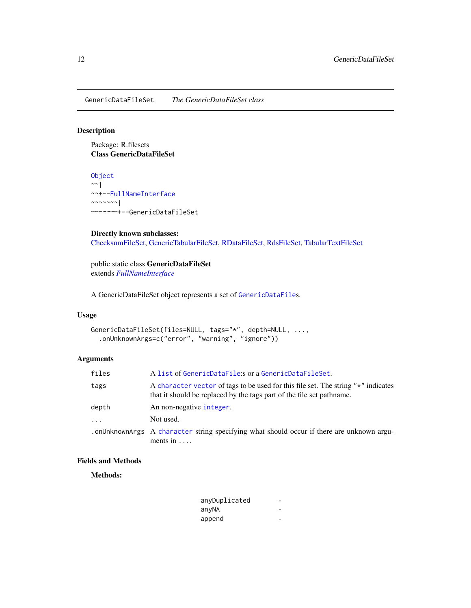<span id="page-11-1"></span><span id="page-11-0"></span>GenericDataFileSet *The GenericDataFileSet class*

# Description

Package: R.filesets Class GenericDataFileSet

[Object](#page-0-0)  $~\sim~$ ~~+-[-FullNameInterface](#page-6-1) ~~~~~~~| ~~~~~~~+--GenericDataFileSet

# Directly known subclasses:

[ChecksumFileSet,](#page-4-1) [GenericTabularFileSet,](#page-17-1) [RDataFileSet,](#page-22-1) [RdsFileSet,](#page-25-1) [TabularTextFileSet](#page-31-1)

public static class GenericDataFileSet extends *[FullNameInterface](#page-6-1)*

A GenericDataFileSet object represents a set of [GenericDataFile](#page-9-1)s.

### Usage

```
GenericDataFileSet(files=NULL, tags="*", depth=NULL, ...,
  .onUnknownArgs=c("error", "warning", "ignore"))
```
# Arguments

| files      | A list of GenericDataFile:s or a GenericDataFileSet.                                                                                                       |
|------------|------------------------------------------------------------------------------------------------------------------------------------------------------------|
| tags       | A character vector of tags to be used for this file set. The string "*" indicates<br>that it should be replaced by the tags part of the file set pathname. |
| depth      | An non-negative integer.                                                                                                                                   |
| $\ddots$ . | Not used.                                                                                                                                                  |
|            | .onUnknownArgs A character string specifying what should occur if there are unknown argu-<br>ments in $\dots$                                              |

# Fields and Methods

Methods:

| anyDuplicated |  |
|---------------|--|
| anyNA         |  |
| append        |  |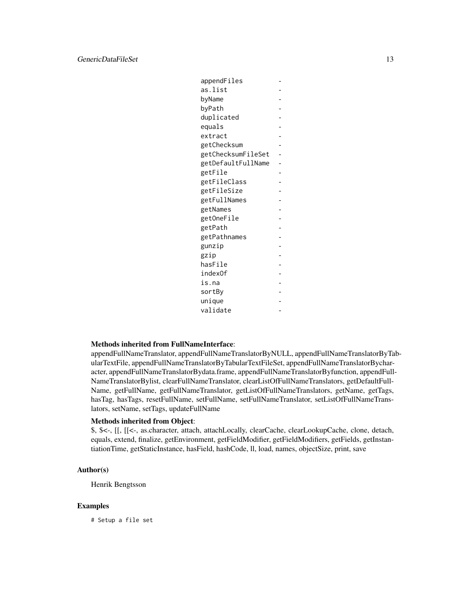| appendFiles        |                |
|--------------------|----------------|
| as.list            |                |
| byName             |                |
| byPath             |                |
| duplicated         | -              |
| equals             |                |
| extract            |                |
| getChecksum        | -              |
| getChecksumFileSet |                |
| getDefaultFullName |                |
| getFile            |                |
| getFileClass       |                |
| getFileSize        |                |
| getFullNames       |                |
| getNames           |                |
| getOneFile         | $\overline{a}$ |
| getPath            | -              |
| getPathnames       |                |
| gunzip             |                |
| gzip               |                |
| hasFile            |                |
| index0f            |                |
| is.na              |                |
| sortBy             |                |
| unique             |                |
| validate           |                |

#### Methods inherited from FullNameInterface:

appendFullNameTranslator, appendFullNameTranslatorByNULL, appendFullNameTranslatorByTabularTextFile, appendFullNameTranslatorByTabularTextFileSet, appendFullNameTranslatorBycharacter, appendFullNameTranslatorBydata.frame, appendFullNameTranslatorByfunction, appendFull-NameTranslatorBylist, clearFullNameTranslator, clearListOfFullNameTranslators, getDefaultFull-Name, getFullName, getFullNameTranslator, getListOfFullNameTranslators, getName, getTags, hasTag, hasTags, resetFullName, setFullName, setFullNameTranslator, setListOfFullNameTranslators, setName, setTags, updateFullName

#### Methods inherited from Object:

\$, \$<-, [[, [[<-, as.character, attach, attachLocally, clearCache, clearLookupCache, clone, detach, equals, extend, finalize, getEnvironment, getFieldModifier, getFieldModifiers, getFields, getInstantiationTime, getStaticInstance, hasField, hashCode, ll, load, names, objectSize, print, save

#### Author(s)

Henrik Bengtsson

# Examples

# Setup a file set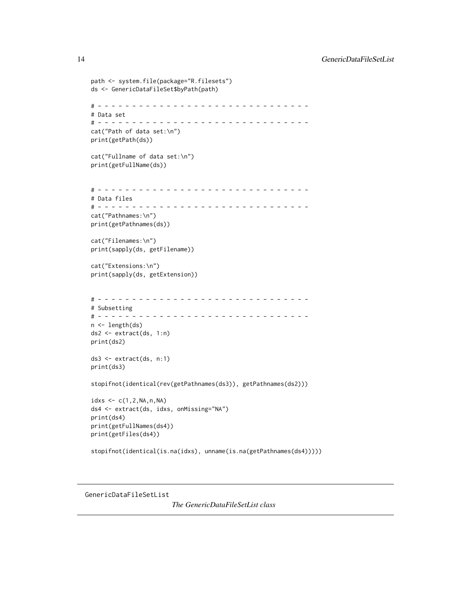```
path <- system.file(package="R.filesets")
ds <- GenericDataFileSet$byPath(path)
# - - - - - - - - - - - - - - - - - - - - - - - - - - - - - - -
# Data set
# - - - - - - - - - - - - - - - - - - - - - - - - - - - - - - -
cat("Path of data set:\n")
print(getPath(ds))
cat("Fullname of data set:\n")
print(getFullName(ds))
# - - - - - - - - - - - - - - - - - - - - - - - - - - - - - - -
# Data files
# - - - - - - - - - - - - - - - - - - - - - - - - - - - - - - -
cat("Pathnames:\n")
print(getPathnames(ds))
cat("Filenames:\n")
print(sapply(ds, getFilename))
cat("Extensions:\n")
print(sapply(ds, getExtension))
# - - - - - - - - - - - - - - - - - - - - - - - - - - - - - - -
# Subsetting
# - - - - - - - - - - - - - - - - - - - - - - - - - - - - - - -
n <- length(ds)
ds2 <- extract(ds, 1:n)
print(ds2)
ds3 <- extract(ds, n:1)
print(ds3)
stopifnot(identical(rev(getPathnames(ds3)), getPathnames(ds2)))
idxs \leq c(1,2,\text{NA},\text{n},\text{NA})ds4 <- extract(ds, idxs, onMissing="NA")
print(ds4)
print(getFullNames(ds4))
print(getFiles(ds4))
stopifnot(identical(is.na(idxs), unname(is.na(getPathnames(ds4)))))
```
<span id="page-13-1"></span>GenericDataFileSetList

*The GenericDataFileSetList class*

<span id="page-13-0"></span>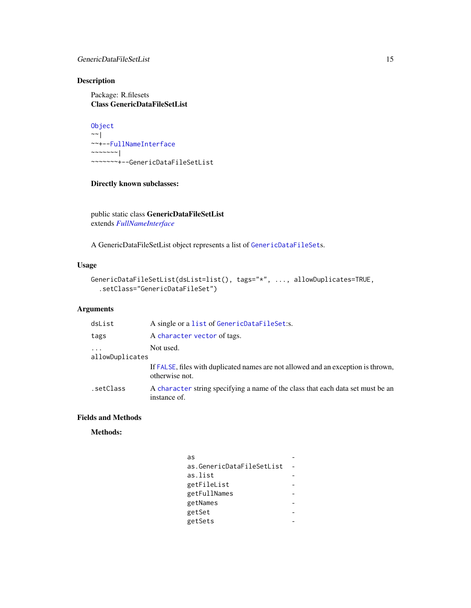# <span id="page-14-0"></span>GenericDataFileSetList 15

# Description

Package: R.filesets Class GenericDataFileSetList

```
Object
~\sim |
~~+--FullNameInterface
~\sim~\sim~\sim~\sim~\sim~~~~~~~~+--GenericDataFileSetList
```
Directly known subclasses:

public static class GenericDataFileSetList extends *[FullNameInterface](#page-6-1)*

A GenericDataFileSetList object represents a list of [GenericDataFileSet](#page-11-1)s.

# Usage

```
GenericDataFileSetList(dsList=list(), tags="*", ..., allowDuplicates=TRUE,
  .setClass="GenericDataFileSet")
```
# Arguments

| dsList          | A single or a list of GenericDataFileSet:s.                                                         |
|-----------------|-----------------------------------------------------------------------------------------------------|
| tags            | A character vector of tags.                                                                         |
| allowDuplicates | Not used.                                                                                           |
|                 | If FALSE, files with duplicated names are not allowed and an exception is thrown,<br>otherwise not. |
| setClass.       | A character string specifying a name of the class that each data set must be an<br>instance of.     |

# Fields and Methods

Methods:

| as                        |  |
|---------------------------|--|
| as.GenericDataFileSetList |  |
| as.list                   |  |
| getFileList               |  |
| getFullNames              |  |
| getNames                  |  |
| getSet                    |  |
| getSets                   |  |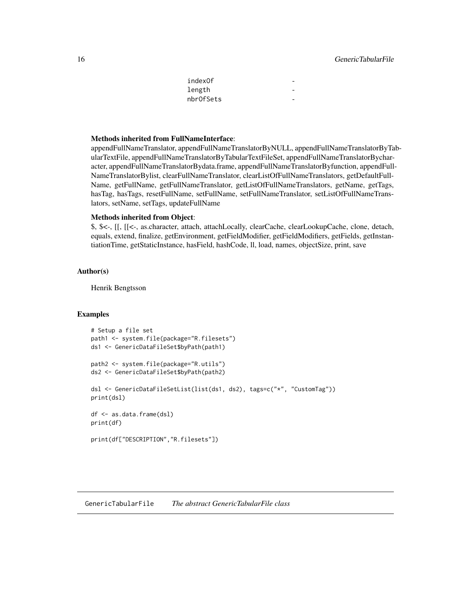| index0f   | - |
|-----------|---|
| length    | - |
| nbrOfSets |   |

# <span id="page-15-0"></span>Methods inherited from FullNameInterface:

appendFullNameTranslator, appendFullNameTranslatorByNULL, appendFullNameTranslatorByTabularTextFile, appendFullNameTranslatorByTabularTextFileSet, appendFullNameTranslatorBycharacter, appendFullNameTranslatorBydata.frame, appendFullNameTranslatorByfunction, appendFull-NameTranslatorBylist, clearFullNameTranslator, clearListOfFullNameTranslators, getDefaultFull-Name, getFullName, getFullNameTranslator, getListOfFullNameTranslators, getName, getTags, hasTag, hasTags, resetFullName, setFullName, setFullNameTranslator, setListOfFullNameTranslators, setName, setTags, updateFullName

#### Methods inherited from Object:

\$, \$<-, [[, [[<-, as.character, attach, attachLocally, clearCache, clearLookupCache, clone, detach, equals, extend, finalize, getEnvironment, getFieldModifier, getFieldModifiers, getFields, getInstantiationTime, getStaticInstance, hasField, hashCode, ll, load, names, objectSize, print, save

#### Author(s)

Henrik Bengtsson

#### Examples

```
# Setup a file set
path1 <- system.file(package="R.filesets")
ds1 <- GenericDataFileSet$byPath(path1)
path2 <- system.file(package="R.utils")
ds2 <- GenericDataFileSet$byPath(path2)
dsl <- GenericDataFileSetList(list(ds1, ds2), tags=c("*", "CustomTag"))
print(dsl)
df <- as.data.frame(dsl)
print(df)
print(df["DESCRIPTION","R.filesets"])
```
#### <span id="page-15-1"></span>GenericTabularFile *The abstract GenericTabularFile class*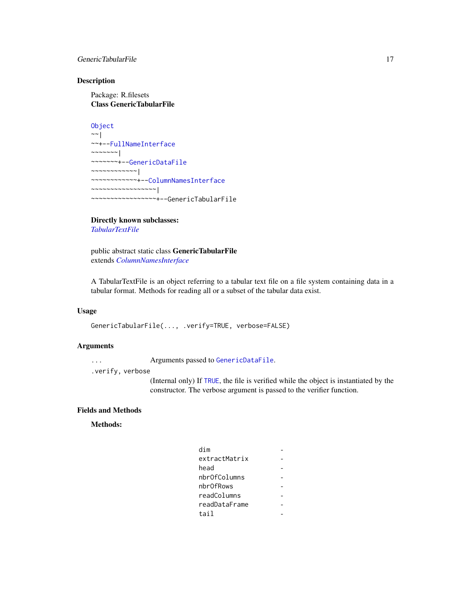# <span id="page-16-0"></span>GenericTabularFile 17

# Description

Package: R.filesets Class GenericTabularFile

```
Object
~\sim~~~+--FullNameInterface
~~~~~~~|~~~~~~~+--GenericDataFile
~~~~~~~~~~~~|
~~~~~~~~~~~~+--ColumnNamesInterface
~~~~~~~~~~~~~~~~~|
  ~~~~~~~~~~~~~~~~~+--GenericTabularFile
```
# Directly known subclasses:

*[TabularTextFile](#page-28-1)*

public abstract static class GenericTabularFile extends *[ColumnNamesInterface](#page-5-1)*

A TabularTextFile is an object referring to a tabular text file on a file system containing data in a tabular format. Methods for reading all or a subset of the tabular data exist.

#### Usage

```
GenericTabularFile(..., .verify=TRUE, verbose=FALSE)
```
# Arguments

... Arguments passed to [GenericDataFile](#page-9-1).

.verify, verbose

(Internal only) If [TRUE](#page-0-0), the file is verified while the object is instantiated by the constructor. The verbose argument is passed to the verifier function.

# Fields and Methods

Methods:

| dim           |  |
|---------------|--|
| extractMatrix |  |
| head          |  |
| nbr0fColumns  |  |
| nbr0fRows     |  |
| readColumns   |  |
| readDataFrame |  |
| tail          |  |
|               |  |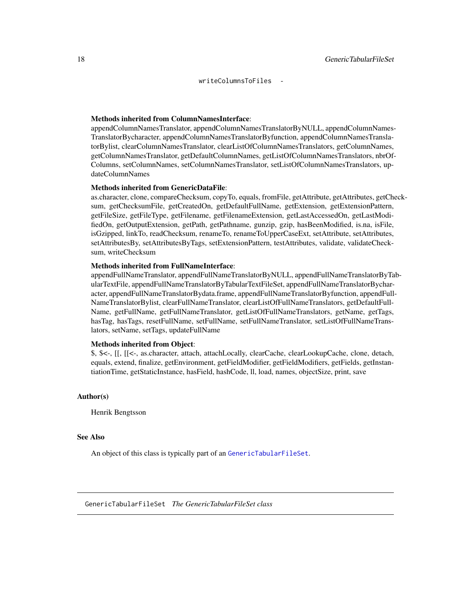writeColumnsToFiles -

#### <span id="page-17-0"></span>Methods inherited from ColumnNamesInterface:

appendColumnNamesTranslator, appendColumnNamesTranslatorByNULL, appendColumnNames-TranslatorBycharacter, appendColumnNamesTranslatorByfunction, appendColumnNamesTranslatorBylist, clearColumnNamesTranslator, clearListOfColumnNamesTranslators, getColumnNames, getColumnNamesTranslator, getDefaultColumnNames, getListOfColumnNamesTranslators, nbrOf-Columns, setColumnNames, setColumnNamesTranslator, setListOfColumnNamesTranslators, updateColumnNames

#### Methods inherited from GenericDataFile:

as.character, clone, compareChecksum, copyTo, equals, fromFile, getAttribute, getAttributes, getChecksum, getChecksumFile, getCreatedOn, getDefaultFullName, getExtension, getExtensionPattern, getFileSize, getFileType, getFilename, getFilenameExtension, getLastAccessedOn, getLastModifiedOn, getOutputExtension, getPath, getPathname, gunzip, gzip, hasBeenModified, is.na, isFile, isGzipped, linkTo, readChecksum, renameTo, renameToUpperCaseExt, setAttribute, setAttributes, setAttributesBy, setAttributesByTags, setExtensionPattern, testAttributes, validate, validateChecksum, writeChecksum

# Methods inherited from FullNameInterface:

appendFullNameTranslator, appendFullNameTranslatorByNULL, appendFullNameTranslatorByTabularTextFile, appendFullNameTranslatorByTabularTextFileSet, appendFullNameTranslatorBycharacter, appendFullNameTranslatorBydata.frame, appendFullNameTranslatorByfunction, appendFull-NameTranslatorBylist, clearFullNameTranslator, clearListOfFullNameTranslators, getDefaultFull-Name, getFullName, getFullNameTranslator, getListOfFullNameTranslators, getName, getTags, hasTag, hasTags, resetFullName, setFullName, setFullNameTranslator, setListOfFullNameTranslators, setName, setTags, updateFullName

#### Methods inherited from Object:

\$, \$<-, [[, [[<-, as.character, attach, attachLocally, clearCache, clearLookupCache, clone, detach, equals, extend, finalize, getEnvironment, getFieldModifier, getFieldModifiers, getFields, getInstantiationTime, getStaticInstance, hasField, hashCode, ll, load, names, objectSize, print, save

#### Author(s)

Henrik Bengtsson

#### See Also

<span id="page-17-1"></span>An object of this class is typically part of an [GenericTabularFileSet](#page-17-1).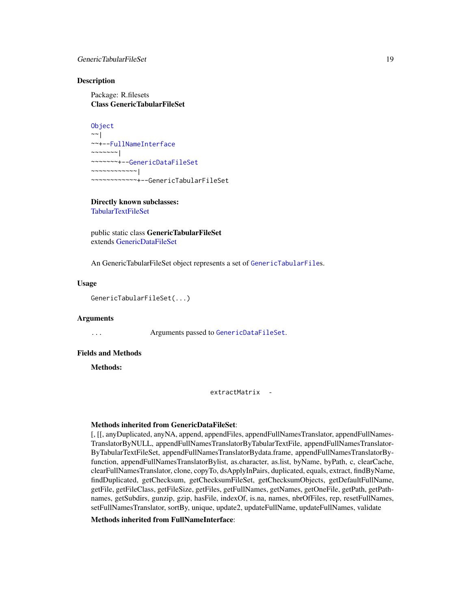# <span id="page-18-0"></span>GenericTabularFileSet 19

#### Description

Package: R.filesets Class GenericTabularFileSet

```
Object
~\sim~~~+--FullNameInterface
~~~~~~~|
~~~~~~~+--GenericDataFileSet
~~~~~~~~~~~~|
~~~~~~~~~~~~+--GenericTabularFileSet
```
Directly known subclasses: [TabularTextFileSet](#page-31-1)

public static class GenericTabularFileSet extends [GenericDataFileSet](#page-11-1)

An GenericTabularFileSet object represents a set of [GenericTabularFile](#page-15-1)s.

#### Usage

GenericTabularFileSet(...)

#### Arguments

... Arguments passed to [GenericDataFileSet](#page-11-1).

#### Fields and Methods

Methods:

extractMatrix -

#### Methods inherited from GenericDataFileSet:

[, [[, anyDuplicated, anyNA, append, appendFiles, appendFullNamesTranslator, appendFullNames-TranslatorByNULL, appendFullNamesTranslatorByTabularTextFile, appendFullNamesTranslator-ByTabularTextFileSet, appendFullNamesTranslatorBydata.frame, appendFullNamesTranslatorByfunction, appendFullNamesTranslatorBylist, as.character, as.list, byName, byPath, c, clearCache, clearFullNamesTranslator, clone, copyTo, dsApplyInPairs, duplicated, equals, extract, findByName, findDuplicated, getChecksum, getChecksumFileSet, getChecksumObjects, getDefaultFullName, getFile, getFileClass, getFileSize, getFiles, getFullNames, getNames, getOneFile, getPath, getPathnames, getSubdirs, gunzip, gzip, hasFile, indexOf, is.na, names, nbrOfFiles, rep, resetFullNames, setFullNamesTranslator, sortBy, unique, update2, updateFullName, updateFullNames, validate

Methods inherited from FullNameInterface: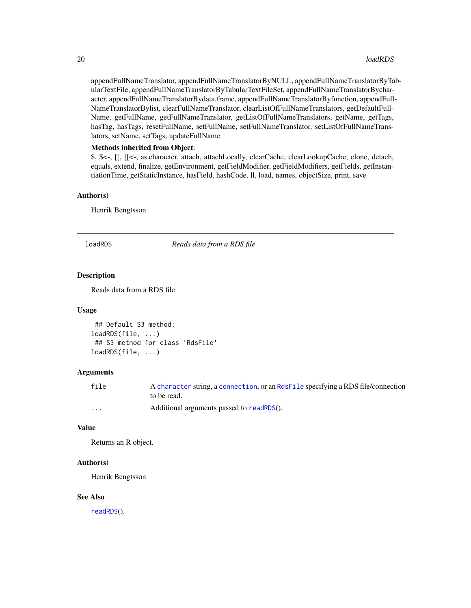<span id="page-19-0"></span>appendFullNameTranslator, appendFullNameTranslatorByNULL, appendFullNameTranslatorByTabularTextFile, appendFullNameTranslatorByTabularTextFileSet, appendFullNameTranslatorBycharacter, appendFullNameTranslatorBydata.frame, appendFullNameTranslatorByfunction, appendFull-NameTranslatorBylist, clearFullNameTranslator, clearListOfFullNameTranslators, getDefaultFull-Name, getFullName, getFullNameTranslator, getListOfFullNameTranslators, getName, getTags, hasTag, hasTags, resetFullName, setFullName, setFullNameTranslator, setListOfFullNameTranslators, setName, setTags, updateFullName

# Methods inherited from Object:

\$, \$<-, [[, [[<-, as.character, attach, attachLocally, clearCache, clearLookupCache, clone, detach, equals, extend, finalize, getEnvironment, getFieldModifier, getFieldModifiers, getFields, getInstantiationTime, getStaticInstance, hasField, hashCode, ll, load, names, objectSize, print, save

#### Author(s)

Henrik Bengtsson

loadRDS *Reads data from a RDS file*

#### **Description**

Reads data from a RDS file.

#### Usage

```
## Default S3 method:
loadRDS(file, ...)
## S3 method for class 'RdsFile'
loadRDS(file, ...)
```
#### Arguments

| file     | A character string, a connection, or an RdsFile specifying a RDS file/connection<br>to be read. |
|----------|-------------------------------------------------------------------------------------------------|
| $\cdots$ | Additional arguments passed to readRDS().                                                       |

### Value

Returns an R object.

#### Author(s)

Henrik Bengtsson

#### See Also

[readRDS](#page-0-0)().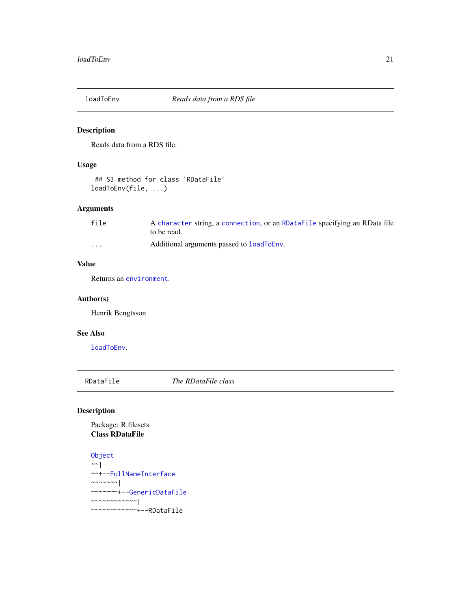<span id="page-20-2"></span><span id="page-20-0"></span>

# Description

Reads data from a RDS file.

# Usage

## S3 method for class 'RDataFile' loadToEnv(file, ...)

# Arguments

| file                    | A character string, a connection, or an RDataFile specifying an RData file |
|-------------------------|----------------------------------------------------------------------------|
|                         | to be read.                                                                |
| $\cdot$ $\cdot$ $\cdot$ | Additional arguments passed to loadToEnv.                                  |

# Value

Returns an [environment](#page-0-0).

# Author(s)

Henrik Bengtsson

#### See Also

[loadToEnv](#page-20-2).

<span id="page-20-1"></span>RDataFile *The RDataFile class*

# Description

Package: R.filesets Class RDataFile

[Object](#page-0-0)  $~\sim~$ ~~+-[-FullNameInterface](#page-6-1)  $\sim$  ~~~~~~ | ~~~~~~~+-[-GenericDataFile](#page-9-1) ~~~~~~~~~~~~| ~~~~~~~~~~~~+--RDataFile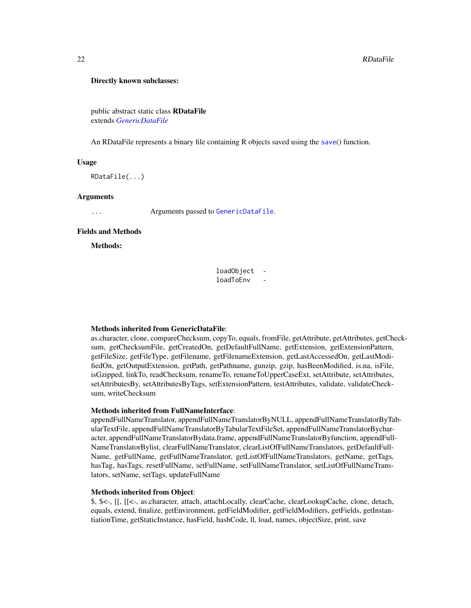#### <span id="page-21-0"></span>Directly known subclasses:

public abstract static class RDataFile extends *[GenericDataFile](#page-9-1)*

An RDataFile represents a binary file containing R objects saved using the [save](#page-0-0)() function.

#### Usage

RDataFile(...)

# Arguments

... Arguments passed to [GenericDataFile](#page-9-1).

# Fields and Methods

Methods:

loadObject loadToEnv -

# Methods inherited from GenericDataFile:

as.character, clone, compareChecksum, copyTo, equals, fromFile, getAttribute, getAttributes, getChecksum, getChecksumFile, getCreatedOn, getDefaultFullName, getExtension, getExtensionPattern, getFileSize, getFileType, getFilename, getFilenameExtension, getLastAccessedOn, getLastModifiedOn, getOutputExtension, getPath, getPathname, gunzip, gzip, hasBeenModified, is.na, isFile, isGzipped, linkTo, readChecksum, renameTo, renameToUpperCaseExt, setAttribute, setAttributes, setAttributesBy, setAttributesByTags, setExtensionPattern, testAttributes, validate, validateChecksum, writeChecksum

### Methods inherited from FullNameInterface:

appendFullNameTranslator, appendFullNameTranslatorByNULL, appendFullNameTranslatorByTabularTextFile, appendFullNameTranslatorByTabularTextFileSet, appendFullNameTranslatorBycharacter, appendFullNameTranslatorBydata.frame, appendFullNameTranslatorByfunction, appendFull-NameTranslatorBylist, clearFullNameTranslator, clearListOfFullNameTranslators, getDefaultFull-Name, getFullName, getFullNameTranslator, getListOfFullNameTranslators, getName, getTags, hasTag, hasTags, resetFullName, setFullName, setFullNameTranslator, setListOfFullNameTranslators, setName, setTags, updateFullName

#### Methods inherited from Object:

\$, \$<-, [[, [[<-, as.character, attach, attachLocally, clearCache, clearLookupCache, clone, detach, equals, extend, finalize, getEnvironment, getFieldModifier, getFieldModifiers, getFields, getInstantiationTime, getStaticInstance, hasField, hashCode, ll, load, names, objectSize, print, save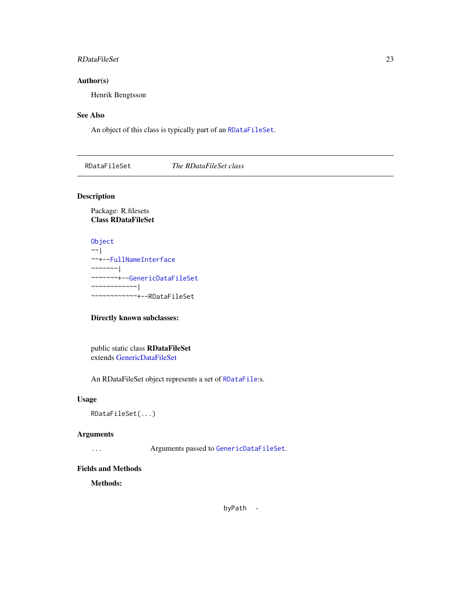# <span id="page-22-0"></span>RDataFileSet 23

# Author(s)

Henrik Bengtsson

# See Also

An object of this class is typically part of an [RDataFileSet](#page-22-1).

<span id="page-22-1"></span>RDataFileSet *The RDataFileSet class*

# Description

Package: R.filesets Class RDataFileSet

#### [Object](#page-0-0)

 $~\sim~$ ~~+-[-FullNameInterface](#page-6-1) ~~~~~~~ $|$ ~~~~~~~+-[-GenericDataFileSet](#page-11-1) ~~~~~~~~~~~~| ~~~~~~~~~~~~+--RDataFileSet

# Directly known subclasses:

public static class RDataFileSet extends [GenericDataFileSet](#page-11-1)

An RDataFileSet object represents a set of [RDataFile](#page-20-1):s.

#### Usage

RDataFileSet(...)

#### Arguments

... Arguments passed to [GenericDataFileSet](#page-11-1).

# Fields and Methods

Methods:

byPath -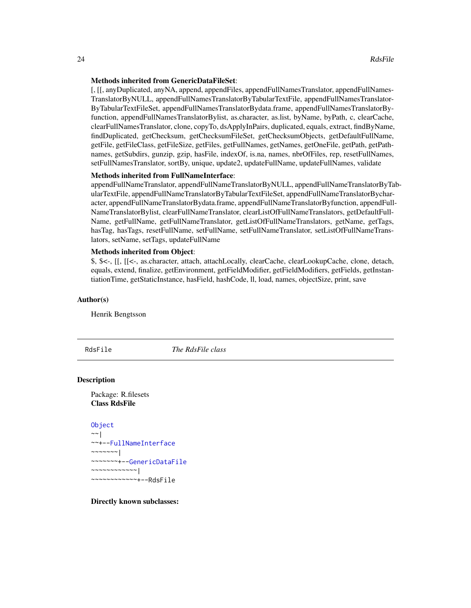#### <span id="page-23-0"></span>Methods inherited from GenericDataFileSet:

[, [[, anyDuplicated, anyNA, append, appendFiles, appendFullNamesTranslator, appendFullNames-TranslatorByNULL, appendFullNamesTranslatorByTabularTextFile, appendFullNamesTranslator-ByTabularTextFileSet, appendFullNamesTranslatorBydata.frame, appendFullNamesTranslatorByfunction, appendFullNamesTranslatorBylist, as.character, as.list, byName, byPath, c, clearCache, clearFullNamesTranslator, clone, copyTo, dsApplyInPairs, duplicated, equals, extract, findByName, findDuplicated, getChecksum, getChecksumFileSet, getChecksumObjects, getDefaultFullName, getFile, getFileClass, getFileSize, getFiles, getFullNames, getNames, getOneFile, getPath, getPathnames, getSubdirs, gunzip, gzip, hasFile, indexOf, is.na, names, nbrOfFiles, rep, resetFullNames, setFullNamesTranslator, sortBy, unique, update2, updateFullName, updateFullNames, validate

#### Methods inherited from FullNameInterface:

appendFullNameTranslator, appendFullNameTranslatorByNULL, appendFullNameTranslatorByTabularTextFile, appendFullNameTranslatorByTabularTextFileSet, appendFullNameTranslatorBycharacter, appendFullNameTranslatorBydata.frame, appendFullNameTranslatorByfunction, appendFull-NameTranslatorBylist, clearFullNameTranslator, clearListOfFullNameTranslators, getDefaultFull-Name, getFullName, getFullNameTranslator, getListOfFullNameTranslators, getName, getTags, hasTag, hasTags, resetFullName, setFullName, setFullNameTranslator, setListOfFullNameTranslators, setName, setTags, updateFullName

#### Methods inherited from Object:

\$, \$<-, [[, [[<-, as.character, attach, attachLocally, clearCache, clearLookupCache, clone, detach, equals, extend, finalize, getEnvironment, getFieldModifier, getFieldModifiers, getFields, getInstantiationTime, getStaticInstance, hasField, hashCode, ll, load, names, objectSize, print, save

#### Author(s)

Henrik Bengtsson

<span id="page-23-1"></span>RdsFile *The RdsFile class*

#### Description

Package: R.filesets Class RdsFile

```
Object
```
~~| ~~+-[-FullNameInterface](#page-6-1) ~~~~~~~| ~~~~~~~+-[-GenericDataFile](#page-9-1)  $\sim$  ~~~~~~~~~~ ~~~~~~~~~~~~+--RdsFile

Directly known subclasses: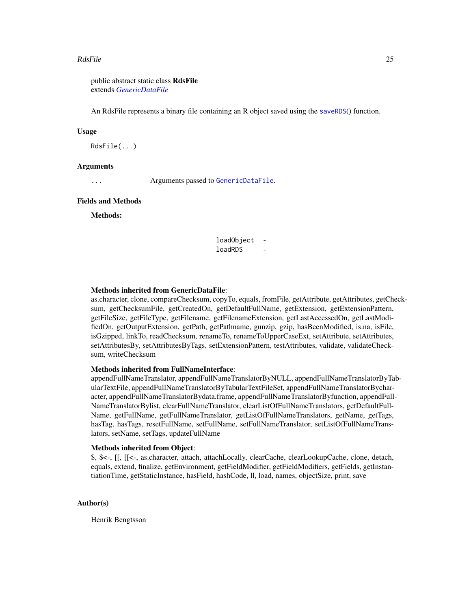#### <span id="page-24-0"></span>RdsFile 25

public abstract static class RdsFile extends *[GenericDataFile](#page-9-1)*

An RdsFile represents a binary file containing an R object saved using the [saveRDS](#page-0-0)() function.

#### Usage

RdsFile(...)

#### Arguments

... Arguments passed to [GenericDataFile](#page-9-1).

#### Fields and Methods

Methods:

loadObject **loadRDS** 

#### Methods inherited from GenericDataFile:

as.character, clone, compareChecksum, copyTo, equals, fromFile, getAttribute, getAttributes, getChecksum, getChecksumFile, getCreatedOn, getDefaultFullName, getExtension, getExtensionPattern, getFileSize, getFileType, getFilename, getFilenameExtension, getLastAccessedOn, getLastModifiedOn, getOutputExtension, getPath, getPathname, gunzip, gzip, hasBeenModified, is.na, isFile, isGzipped, linkTo, readChecksum, renameTo, renameToUpperCaseExt, setAttribute, setAttributes, setAttributesBy, setAttributesByTags, setExtensionPattern, testAttributes, validate, validateChecksum, writeChecksum

#### Methods inherited from FullNameInterface:

appendFullNameTranslator, appendFullNameTranslatorByNULL, appendFullNameTranslatorByTabularTextFile, appendFullNameTranslatorByTabularTextFileSet, appendFullNameTranslatorBycharacter, appendFullNameTranslatorBydata.frame, appendFullNameTranslatorByfunction, appendFull-NameTranslatorBylist, clearFullNameTranslator, clearListOfFullNameTranslators, getDefaultFull-Name, getFullName, getFullNameTranslator, getListOfFullNameTranslators, getName, getTags, hasTag, hasTags, resetFullName, setFullName, setFullNameTranslator, setListOfFullNameTranslators, setName, setTags, updateFullName

# Methods inherited from Object:

\$, \$<-, [[, [[<-, as.character, attach, attachLocally, clearCache, clearLookupCache, clone, detach, equals, extend, finalize, getEnvironment, getFieldModifier, getFieldModifiers, getFields, getInstantiationTime, getStaticInstance, hasField, hashCode, ll, load, names, objectSize, print, save

#### Author(s)

Henrik Bengtsson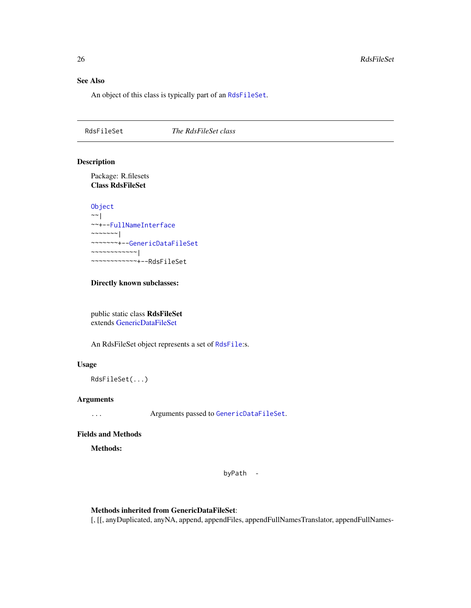# <span id="page-25-0"></span>See Also

An object of this class is typically part of an [RdsFileSet](#page-25-1).

<span id="page-25-1"></span>RdsFileSet *The RdsFileSet class*

#### Description

Package: R.filesets Class RdsFileSet

```
Object
~\sim~|
~~+--FullNameInterface
~~~~~~~|~~~~~~~+--GenericDataFileSet
~~~~~~~~~~~~|
~~~~~~~~~~~~+--RdsFileSet
```
# Directly known subclasses:

public static class RdsFileSet extends [GenericDataFileSet](#page-11-1)

An RdsFileSet object represents a set of [RdsFile](#page-23-1):s.

#### Usage

RdsFileSet(...)

#### Arguments

... Arguments passed to [GenericDataFileSet](#page-11-1).

#### Fields and Methods

Methods:

byPath -

Methods inherited from GenericDataFileSet:

[, [[, anyDuplicated, anyNA, append, appendFiles, appendFullNamesTranslator, appendFullNames-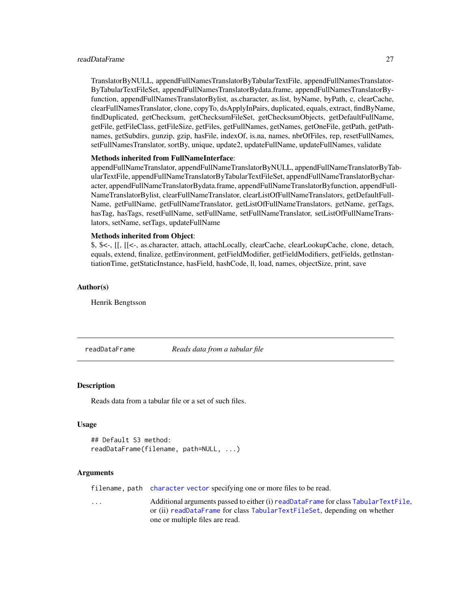#### <span id="page-26-0"></span>readDataFrame 27

TranslatorByNULL, appendFullNamesTranslatorByTabularTextFile, appendFullNamesTranslator-ByTabularTextFileSet, appendFullNamesTranslatorBydata.frame, appendFullNamesTranslatorByfunction, appendFullNamesTranslatorBylist, as.character, as.list, byName, byPath, c, clearCache, clearFullNamesTranslator, clone, copyTo, dsApplyInPairs, duplicated, equals, extract, findByName, findDuplicated, getChecksum, getChecksumFileSet, getChecksumObjects, getDefaultFullName, getFile, getFileClass, getFileSize, getFiles, getFullNames, getNames, getOneFile, getPath, getPathnames, getSubdirs, gunzip, gzip, hasFile, indexOf, is.na, names, nbrOfFiles, rep, resetFullNames, setFullNamesTranslator, sortBy, unique, update2, updateFullName, updateFullNames, validate

#### Methods inherited from FullNameInterface:

appendFullNameTranslator, appendFullNameTranslatorByNULL, appendFullNameTranslatorByTabularTextFile, appendFullNameTranslatorByTabularTextFileSet, appendFullNameTranslatorBycharacter, appendFullNameTranslatorBydata.frame, appendFullNameTranslatorByfunction, appendFull-NameTranslatorBylist, clearFullNameTranslator, clearListOfFullNameTranslators, getDefaultFull-Name, getFullName, getFullNameTranslator, getListOfFullNameTranslators, getName, getTags, hasTag, hasTags, resetFullName, setFullName, setFullNameTranslator, setListOfFullNameTranslators, setName, setTags, updateFullName

# Methods inherited from Object:

\$, \$<-, [[, [[<-, as.character, attach, attachLocally, clearCache, clearLookupCache, clone, detach, equals, extend, finalize, getEnvironment, getFieldModifier, getFieldModifiers, getFields, getInstantiationTime, getStaticInstance, hasField, hashCode, ll, load, names, objectSize, print, save

#### Author(s)

Henrik Bengtsson

readDataFrame *Reads data from a tabular file*

#### Description

Reads data from a tabular file or a set of such files.

#### Usage

```
## Default S3 method:
readDataFrame(filename, path=NULL, ...)
```
#### Arguments

filename, path [character](#page-0-0) [vector](#page-0-0) specifying one or more files to be read.

... Additional arguments passed to either (i) [readDataFrame](#page-0-0) for class [TabularTextFile](#page-28-1), or (ii) [readDataFrame](#page-0-0) for class [TabularTextFileSet](#page-31-1), depending on whether one or multiple files are read.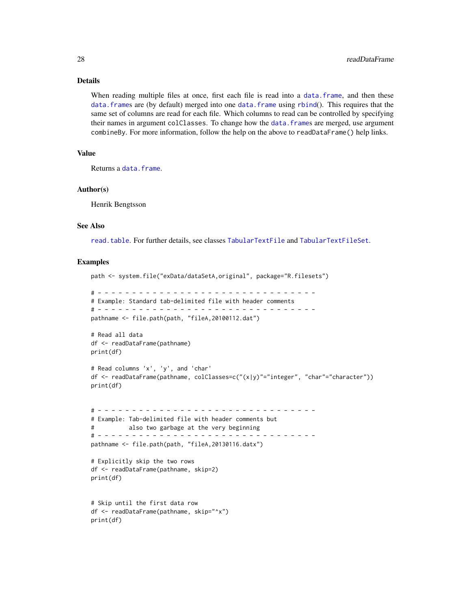# Details

When reading multiple files at once, first each file is read into a [data.frame](#page-0-0), and then these [data.frame](#page-0-0)s are (by default) merged into one [data.frame](#page-0-0) using [rbind](#page-0-0)(). This requires that the same set of columns are read for each file. Which columns to read can be controlled by specifying their names in argument colClasses. To change how the [data.frame](#page-0-0)s are merged, use argument combineBy. For more information, follow the help on the above to readDataFrame() help links.

#### Value

Returns a [data.frame](#page-0-0).

#### Author(s)

Henrik Bengtsson

#### See Also

[read.table](#page-0-0). For further details, see classes [TabularTextFile](#page-28-1) and [TabularTextFileSet](#page-31-1).

#### Examples

```
path <- system.file("exData/dataSetA,original", package="R.filesets")
# - - - - - - - - - - - - - - - - - - - - - - - - - - - - - - - -
# Example: Standard tab-delimited file with header comments
# - - - - - - - - - - - - - - - - - - - - - - - - - - - - - - - -
pathname <- file.path(path, "fileA,20100112.dat")
# Read all data
df <- readDataFrame(pathname)
print(df)
# Read columns 'x', 'y', and 'char'
df <- readDataFrame(pathname, colClasses=c("(x|y)"="integer", "char"="character"))
print(df)
# - - - - - - - - - - - - - - - - - - - - - - - - - - - - - - - -
# Example: Tab-delimited file with header comments but
# also two garbage at the very beginning
# - - - - - - - - - - - - - - - - - - - - - - - - - - - - - - - -
pathname <- file.path(path, "fileA,20130116.datx")
# Explicitly skip the two rows
df <- readDataFrame(pathname, skip=2)
print(df)
# Skip until the first data row
df <- readDataFrame(pathname, skip="^x")
print(df)
```
<span id="page-27-0"></span>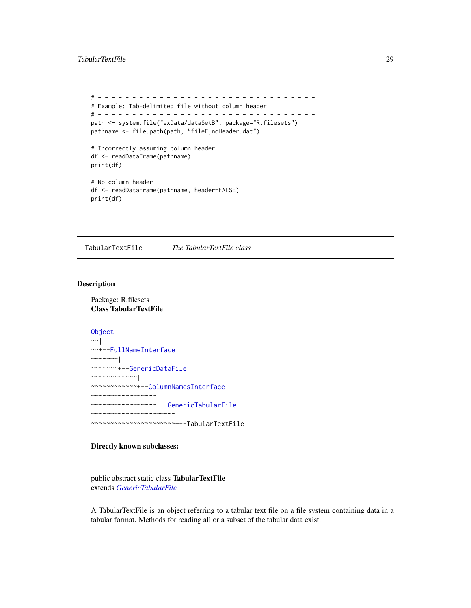# <span id="page-28-0"></span>TabularTextFile 29

```
# - - - - - - - - - - - - - - - - - - - - - - - - - - - - - - - -
# Example: Tab-delimited file without column header
# - - - - - - - - - - - - - - - - - - - - - - - - - - - - - - - -
path <- system.file("exData/dataSetB", package="R.filesets")
pathname <- file.path(path, "fileF,noHeader.dat")
# Incorrectly assuming column header
df <- readDataFrame(pathname)
print(df)
# No column header
df <- readDataFrame(pathname, header=FALSE)
print(df)
```
<span id="page-28-1"></span>TabularTextFile *The TabularTextFile class*

#### Description

Package: R.filesets Class TabularTextFile

```
Object
~\sim |
~~+--FullNameInterface
~~~~~~~|
~~~~~~~+--GenericDataFile
~~~~~~~~~~~~|
~~~~~~~~~~~~+--ColumnNamesInterface
~~~~~~~~~~~~~~~~~|
 ~~~~~~~~~~~~~~~~~+--GenericTabularFile
~~~~~~~~~~~~~~~~~~~~~~|
~~~~~~~~~~~~~~~~~~~~~~+--TabularTextFile
```
#### Directly known subclasses:

public abstract static class TabularTextFile extends *[GenericTabularFile](#page-15-1)*

A TabularTextFile is an object referring to a tabular text file on a file system containing data in a tabular format. Methods for reading all or a subset of the tabular data exist.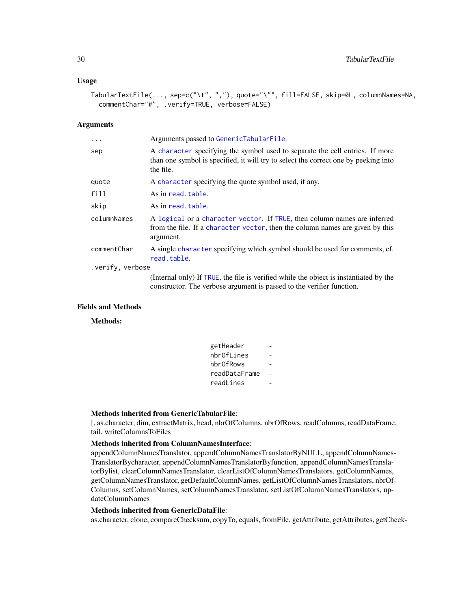#### <span id="page-29-0"></span>Usage

```
TabularTextFile(..., sep=c("\t", ","), quote="\"", fill=FALSE, skip=0L, columnNames=NA,
  commentChar="#", .verify=TRUE, verbose=FALSE)
```
#### Arguments

| $\cdots$         | Arguments passed to GenericTabularFile.                                                                                                                                          |
|------------------|----------------------------------------------------------------------------------------------------------------------------------------------------------------------------------|
| sep              | A character specifying the symbol used to separate the cell entries. If more<br>than one symbol is specified, it will try to select the correct one by peeking into<br>the file. |
| quote            | A character specifying the quote symbol used, if any.                                                                                                                            |
| fill             | As in read, table.                                                                                                                                                               |
| skip             | As in read, table.                                                                                                                                                               |
| columnNames      | A logical or a character vector. If TRUE, then column names are inferred<br>from the file. If a character vector, then the column names are given by this<br>argument.           |
| commentChar      | A single character specifying which symbol should be used for comments, cf.<br>read.table.                                                                                       |
| .verify, verbose |                                                                                                                                                                                  |
|                  | (Internal only) If TRUE, the file is verified while the object is instantiated by the<br>constructor. The verbose argument is passed to the verifier function.                   |

# Fields and Methods

Methods:

# Methods inherited from GenericTabularFile:

[, as.character, dim, extractMatrix, head, nbrOfColumns, nbrOfRows, readColumns, readDataFrame, tail, writeColumnsToFiles

#### Methods inherited from ColumnNamesInterface:

appendColumnNamesTranslator, appendColumnNamesTranslatorByNULL, appendColumnNames-TranslatorBycharacter, appendColumnNamesTranslatorByfunction, appendColumnNamesTranslatorBylist, clearColumnNamesTranslator, clearListOfColumnNamesTranslators, getColumnNames, getColumnNamesTranslator, getDefaultColumnNames, getListOfColumnNamesTranslators, nbrOf-Columns, setColumnNames, setColumnNamesTranslator, setListOfColumnNamesTranslators, updateColumnNames

# Methods inherited from GenericDataFile:

as.character, clone, compareChecksum, copyTo, equals, fromFile, getAttribute, getAttributes, getCheck-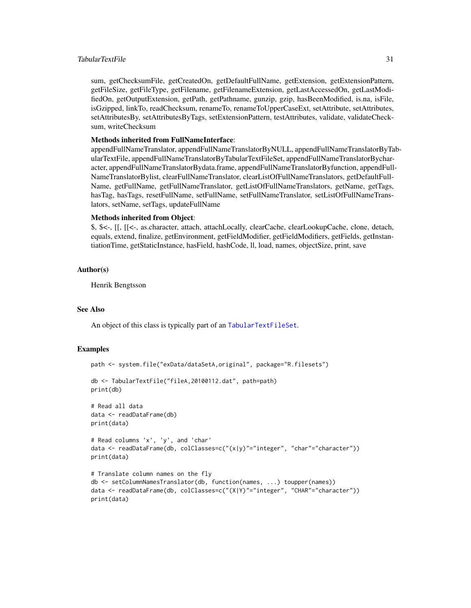# <span id="page-30-0"></span>TabularTextFile 31

sum, getChecksumFile, getCreatedOn, getDefaultFullName, getExtension, getExtensionPattern, getFileSize, getFileType, getFilename, getFilenameExtension, getLastAccessedOn, getLastModifiedOn, getOutputExtension, getPath, getPathname, gunzip, gzip, hasBeenModified, is.na, isFile, isGzipped, linkTo, readChecksum, renameTo, renameToUpperCaseExt, setAttribute, setAttributes, setAttributesBy, setAttributesByTags, setExtensionPattern, testAttributes, validate, validateChecksum, writeChecksum

# Methods inherited from FullNameInterface:

appendFullNameTranslator, appendFullNameTranslatorByNULL, appendFullNameTranslatorByTabularTextFile, appendFullNameTranslatorByTabularTextFileSet, appendFullNameTranslatorBycharacter, appendFullNameTranslatorBydata.frame, appendFullNameTranslatorByfunction, appendFull-NameTranslatorBylist, clearFullNameTranslator, clearListOfFullNameTranslators, getDefaultFull-Name, getFullName, getFullNameTranslator, getListOfFullNameTranslators, getName, getTags, hasTag, hasTags, resetFullName, setFullName, setFullNameTranslator, setListOfFullNameTranslators, setName, setTags, updateFullName

#### Methods inherited from Object:

\$, \$<-, [[, [[<-, as.character, attach, attachLocally, clearCache, clearLookupCache, clone, detach, equals, extend, finalize, getEnvironment, getFieldModifier, getFieldModifiers, getFields, getInstantiationTime, getStaticInstance, hasField, hashCode, ll, load, names, objectSize, print, save

#### Author(s)

Henrik Bengtsson

#### See Also

An object of this class is typically part of an [TabularTextFileSet](#page-31-1).

#### Examples

```
path <- system.file("exData/dataSetA,original", package="R.filesets")
db <- TabularTextFile("fileA,20100112.dat", path=path)
print(db)
# Read all data
data <- readDataFrame(db)
print(data)
# Read columns 'x', 'y', and 'char'
data <- readDataFrame(db, colClasses=c("(x|y)"="integer", "char"="character"))
print(data)
# Translate column names on the fly
db <- setColumnNamesTranslator(db, function(names, ...) toupper(names))
data <- readDataFrame(db, colClasses=c("(X|Y)"="integer", "CHAR"="character"))
print(data)
```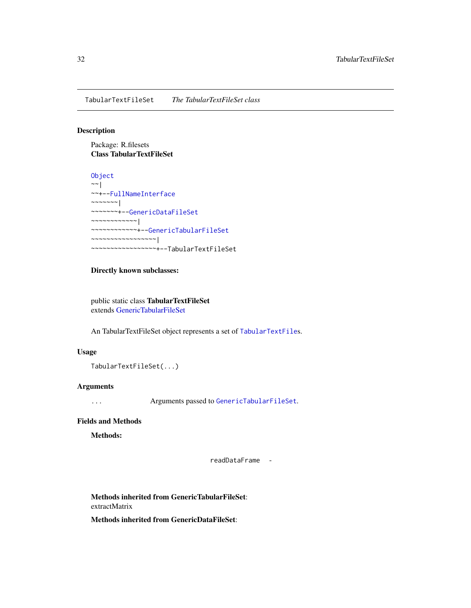<span id="page-31-1"></span><span id="page-31-0"></span>TabularTextFileSet *The TabularTextFileSet class*

# Description

Package: R.filesets Class TabularTextFileSet

```
Object
~\sim~~~+--FullNameInterface
~~~~~~~|~~~~~~~+--GenericDataFileSet
~~~~~~~~~~~~|
~~~~~~~~~~~~+--GenericTabularFileSet
~~~~~~~~~~~~~~~|~~~~~~~~~~~~~~~~~+--TabularTextFileSet
```
# Directly known subclasses:

public static class TabularTextFileSet extends [GenericTabularFileSet](#page-17-1)

An TabularTextFileSet object represents a set of [TabularTextFile](#page-28-1)s.

# Usage

TabularTextFileSet(...)

#### Arguments

... Arguments passed to [GenericTabularFileSet](#page-17-1).

#### Fields and Methods

Methods:

readDataFrame -

Methods inherited from GenericTabularFileSet: extractMatrix

Methods inherited from GenericDataFileSet: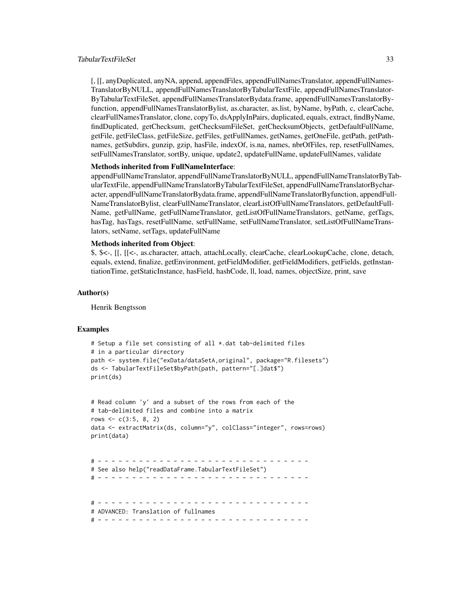#### TabularTextFileSet 33

[, [[, anyDuplicated, anyNA, append, appendFiles, appendFullNamesTranslator, appendFullNames-TranslatorByNULL, appendFullNamesTranslatorByTabularTextFile, appendFullNamesTranslator-ByTabularTextFileSet, appendFullNamesTranslatorBydata.frame, appendFullNamesTranslatorByfunction, appendFullNamesTranslatorBylist, as.character, as.list, byName, byPath, c, clearCache, clearFullNamesTranslator, clone, copyTo, dsApplyInPairs, duplicated, equals, extract, findByName, findDuplicated, getChecksum, getChecksumFileSet, getChecksumObjects, getDefaultFullName, getFile, getFileClass, getFileSize, getFiles, getFullNames, getNames, getOneFile, getPath, getPathnames, getSubdirs, gunzip, gzip, hasFile, indexOf, is.na, names, nbrOfFiles, rep, resetFullNames, setFullNamesTranslator, sortBy, unique, update2, updateFullName, updateFullNames, validate

### Methods inherited from FullNameInterface:

appendFullNameTranslator, appendFullNameTranslatorByNULL, appendFullNameTranslatorByTabularTextFile, appendFullNameTranslatorByTabularTextFileSet, appendFullNameTranslatorBycharacter, appendFullNameTranslatorBydata.frame, appendFullNameTranslatorByfunction, appendFull-NameTranslatorBylist, clearFullNameTranslator, clearListOfFullNameTranslators, getDefaultFull-Name, getFullName, getFullNameTranslator, getListOfFullNameTranslators, getName, getTags, hasTag, hasTags, resetFullName, setFullName, setFullNameTranslator, setListOfFullNameTranslators, setName, setTags, updateFullName

#### Methods inherited from Object:

\$, \$<-, [[, [[<-, as.character, attach, attachLocally, clearCache, clearLookupCache, clone, detach, equals, extend, finalize, getEnvironment, getFieldModifier, getFieldModifiers, getFields, getInstantiationTime, getStaticInstance, hasField, hashCode, ll, load, names, objectSize, print, save

#### Author(s)

Henrik Bengtsson

#### Examples

```
# Setup a file set consisting of all *.dat tab-delimited files
# in a particular directory
path <- system.file("exData/dataSetA,original", package="R.filesets")
ds <- TabularTextFileSet$byPath(path, pattern="[.]dat$")
print(ds)
```

```
# Read column 'y' and a subset of the rows from each of the
# tab-delimited files and combine into a matrix
rows \leq -c(3:5, 8, 2)data <- extractMatrix(ds, column="y", colClass="integer", rows=rows)
print(data)
```

```
# - - - - - - - - - - - - - - - - - - - - - - - - - - - - - - -
# See also help("readDataFrame.TabularTextFileSet")
# - - - - - - - - - - - - - - - - - - - - - - - - - - - - - - -
# - - - - - - - - - - - - - - - - - - - - - - - - - - - - - - -
# ADVANCED: Translation of fullnames
# - - - - - - - - - - - - - - - - - - - - - - - - - - - - - - -
```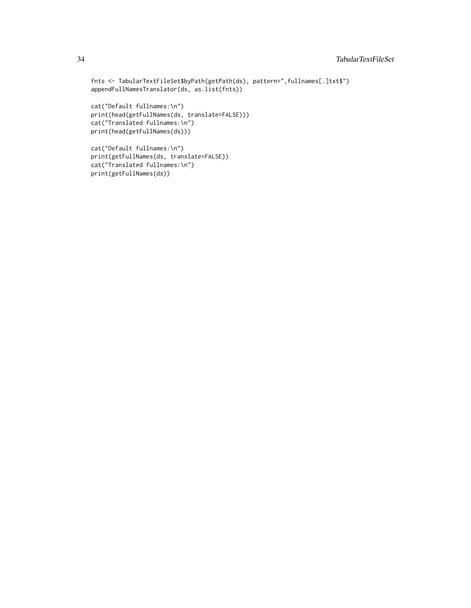```
fnts <- TabularTextFileSet$byPath(getPath(ds), pattern=",fullnames[.]txt$")
appendFullNamesTranslator(ds, as.list(fnts))
```

```
cat("Default fullnames:\n")
print(head(getFullNames(ds, translate=FALSE)))
cat("Translated fullnames:\n")
print(head(getFullNames(ds)))
```

```
cat("Default fullnames:\n")
print(getFullNames(ds, translate=FALSE))
cat("Translated fullnames:\n")
print(getFullNames(ds))
```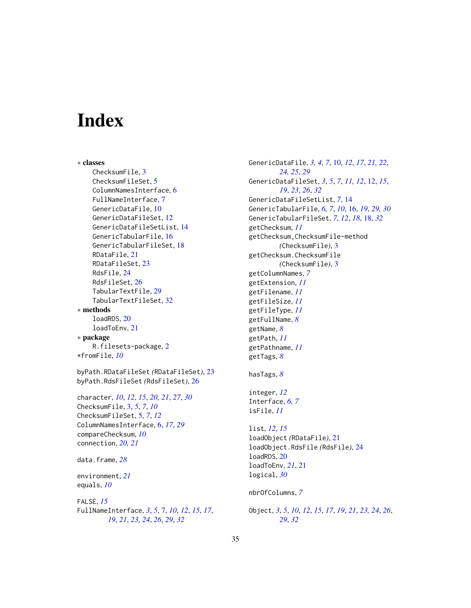# <span id="page-34-0"></span>**Index**

∗ classes ChecksumFile, [3](#page-2-0) ChecksumFileSet, [5](#page-4-0) ColumnNamesInterface, [6](#page-5-0) FullNameInterface, [7](#page-6-0) GenericDataFile, [10](#page-9-0) GenericDataFileSet, [12](#page-11-0) GenericDataFileSetList, [14](#page-13-0) GenericTabularFile, [16](#page-15-0) GenericTabularFileSet, [18](#page-17-0) RDataFile, [21](#page-20-0) RDataFileSet, [23](#page-22-0) RdsFile, [24](#page-23-0) RdsFileSet, [26](#page-25-0) TabularTextFile, [29](#page-28-0) TabularTextFileSet, [32](#page-31-0) ∗ methods loadRDS, [20](#page-19-0) loadToEnv, [21](#page-20-0) ∗ package R.filesets-package, [2](#page-1-0) \*fromFile, *[10](#page-9-0)* byPath.RDataFileSet *(*RDataFileSet*)*, [23](#page-22-0) byPath.RdsFileSet *(*RdsFileSet*)*, [26](#page-25-0) character, *[10](#page-9-0)*, *[12](#page-11-0)*, *[15](#page-14-0)*, *[20,](#page-19-0) [21](#page-20-0)*, *[27](#page-26-0)*, *[30](#page-29-0)*

ChecksumFile, [3,](#page-2-0) *[5](#page-4-0)*, *[7](#page-6-0)*, *[10](#page-9-0)* ChecksumFileSet, [5,](#page-4-0) *[7](#page-6-0)*, *[12](#page-11-0)* ColumnNamesInterface, [6,](#page-5-0) *[17](#page-16-0)*, *[29](#page-28-0)* compareChecksum, *[10](#page-9-0)* connection, *[20,](#page-19-0) [21](#page-20-0)*

```
data.frame, 28
```

```
environment, 21
equals, 10
```
FALSE, *[15](#page-14-0)* FullNameInterface, *[3](#page-2-0)*, *[5](#page-4-0)*, [7,](#page-6-0) *[10](#page-9-0)*, *[12](#page-11-0)*, *[15](#page-14-0)*, *[17](#page-16-0)*, *[19](#page-18-0)*, *[21](#page-20-0)*, *[23,](#page-22-0) [24](#page-23-0)*, *[26](#page-25-0)*, *[29](#page-28-0)*, *[32](#page-31-0)*

GenericDataFile, *[3,](#page-2-0) [4](#page-3-0)*, *[7](#page-6-0)*, [10,](#page-9-0) *[12](#page-11-0)*, *[17](#page-16-0)*, *[21,](#page-20-0) [22](#page-21-0)*, *[24,](#page-23-0) [25](#page-24-0)*, *[29](#page-28-0)* GenericDataFileSet, *[3](#page-2-0)*, *[5](#page-4-0)*, *[7](#page-6-0)*, *[11,](#page-10-0) [12](#page-11-0)*, [12,](#page-11-0) *[15](#page-14-0)*, *[19](#page-18-0)*, *[23](#page-22-0)*, *[26](#page-25-0)*, *[32](#page-31-0)* GenericDataFileSetList, *[7](#page-6-0)*, [14](#page-13-0) GenericTabularFile, *[6,](#page-5-0) [7](#page-6-0)*, *[10](#page-9-0)*, [16,](#page-15-0) *[19](#page-18-0)*, *[29,](#page-28-0) [30](#page-29-0)* GenericTabularFileSet, *[7](#page-6-0)*, *[12](#page-11-0)*, *[18](#page-17-0)*, [18,](#page-17-0) *[32](#page-31-0)* getChecksum, *[11](#page-10-0)* getChecksum,ChecksumFile-method *(*ChecksumFile*)*, [3](#page-2-0) getChecksum.ChecksumFile *(*ChecksumFile*)*, [3](#page-2-0) getColumnNames, *[7](#page-6-0)* getExtension, *[11](#page-10-0)* getFilename, *[11](#page-10-0)* getFileSize, *[11](#page-10-0)* getFileType, *[11](#page-10-0)* getFullName, *[8](#page-7-0)* getName, *[8](#page-7-0)* getPath, *[11](#page-10-0)* getPathname, *[11](#page-10-0)* getTags, *[8](#page-7-0)* hasTags, *[8](#page-7-0)* integer, *[12](#page-11-0)* Interface, *[6,](#page-5-0) [7](#page-6-0)* isFile, *[11](#page-10-0)* list, *[12](#page-11-0)*, *[15](#page-14-0)* loadObject *(*RDataFile*)*, [21](#page-20-0) loadObject.RdsFile *(*RdsFile*)*, [24](#page-23-0) loadRDS, [20](#page-19-0) loadToEnv, *[21](#page-20-0)*, [21](#page-20-0) logical, *[30](#page-29-0)* nbrOfColumns, *[7](#page-6-0)* Object, *[3](#page-2-0)*, *[5](#page-4-0)*, *[10](#page-9-0)*, *[12](#page-11-0)*, *[15](#page-14-0)*, *[17](#page-16-0)*, *[19](#page-18-0)*, *[21](#page-20-0)*, *[23,](#page-22-0) [24](#page-23-0)*, *[26](#page-25-0)*, *[29](#page-28-0)*, *[32](#page-31-0)*